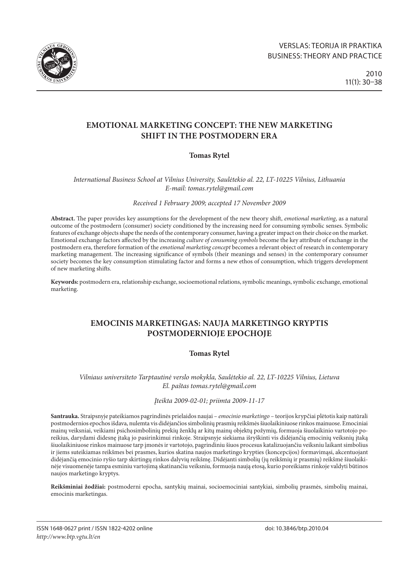

# **EMOTIONAL MARKETING CONCEPT: THE NEW MARKETING SHIFT IN THE POSTMODERN ERA**

# **Tomas Rytel**

*International Business School at Vilnius University, Saulėtekio al. 22, LT-10225 Vilnius, Lithuania E-mail: tomas.rytel@gmail.com*

*Received 1 February 2009; accepted 17 November 2009*

**Abstract.** The paper provides key assumptions for the development of the new theory shift, *emotional marketing*, as a natural outcome of the postmodern (consumer) society conditioned by the increasing need for consuming symbolic senses. Symbolic features of exchange objects shape the needs of the contemporary consumer, having a greater impact on their choice on the market. Emotional exchange factors affected by the increasing *culture of consuming symbols* become the key attribute of exchange in the postmodern era, therefore formation of the *emotional marketing concept* becomes a relevant object of research in contemporary marketing management. The increasing significance of symbols (their meanings and senses) in the contemporary consumer society becomes the key consumption stimulating factor and forms a new ethos of consumption, which triggers development of new marketing shifts.

**Keywords:** postmodern era, relationship exchange, socioemotional relations, symbolic meanings, symbolic exchange, emotional marketing.

# **EMOCINIS MARKETINGAS: NAUJA MARKETINGO KRYPTIS POSTMODERNIOJE EPOCHOJE**

## **Tomas Rytel**

*Vilniaus universiteto Tarptautinė verslo mokykla, Saulėtekio al. 22, LT-10225 Vilnius, Lietuva El. paštas [tomas.rytel@gmail.com](mailto:tomas.rytel@gmail.com)*

*Įteikta 2009-02-01; priimta 2009-11-17*

**Santrauka.** Straipsnyje pateikiamos pagrindinės prielaidos naujai – *emocinio marketingo* – teorijos krypčiai plėtotis kaip natūrali postmodernios epochos išdava, nulemta vis didėjančios simbolinių prasmių reikšmės šiuolaikiniuose rinkos mainuose. Emociniai mainų veiksniai, veikiami psichosimbolinių prekių ženklų ar kitų mainų objektų požymių, formuoja šiuolaikinio vartotojo poreikius, darydami didesnę įtaką jo pasirinkimui rinkoje. Straipsnyje siekiama išryškinti vis didėjančią emocinių veiksnių įtaką šiuolaikiniuose rinkos mainuose tarp įmonės ir vartotojo, pagrindiniu šiuos procesus katalizuojančiu veiksniu laikant simbolius ir jiems suteikiamas reikšmes bei prasmes, kurios skatina naujos marketingo krypties (koncepcijos) formavimąsi, akcentuojant didėjančią emocinio ryšio tarp skirtingų rinkos dalyvių reikšmę. Didėjanti simbolių (jų reikšmių ir prasmių) reikšmė šiuolaikinėje visuomenėje tampa esminiu vartojimą skatinančiu veiksniu, formuoja naują etosą, kurio poreikiams rinkoje valdyti būtinos naujos marketingo kryptys.

**Reikšminiai žodžiai:** postmoderni epocha, santykių mainai, socioemociniai santykiai, simbolių prasmės, simbolių mainai, emocinis marketingas.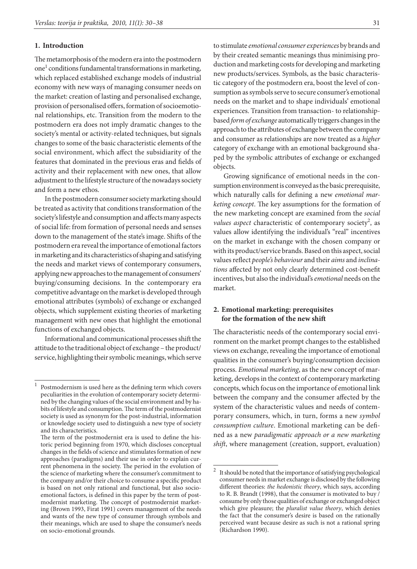#### **1. Introduction**

The metamorphosis of the modern era into the postmodern one<sup>1</sup> conditions fundamental transformations in marketing, which replaced established exchange models of industrial economy with new ways of managing consumer needs on the market: creation of lasting and personalised exchange, provision of personalised offers, formation of socioemotional relationships, etc. Transition from the modern to the postmodern era does not imply dramatic changes to the society's mental or activity-related techniques, but signals changes to some of the basic characteristic elements of the social environment, which affect the subsidiarity of the features that dominated in the previous eras and fields of activity and their replacement with new ones, that allow adjustment to the lifestyle structure of the nowadays society and form a new ethos.

In the postmodern consumer society marketing should be treated as activity that conditions transformation of the society's lifestyle and consumption and affects many aspects of social life: from formation of personal needs and senses down to the management of the state's image. Shifts of the postmodern era reveal the importance of emotional factors in marketing and its characteristics of shaping and satisfying the needs and market views of contemporary consumers, applying new approaches to the management of consumers' buying/consuming decisions. In the contemporary era competitive advantage on the market is developed through emotional attributes (symbols) of exchange or exchanged objects, which supplement existing theories of marketing management with new ones that highlight the emotional functions of exchanged objects.

Informational and communicational processes shift the attitude to the traditional object of exchange – the product/ service, highlighting their symbolic meanings, which serve

to stimulate *emotional consumer experiences* by brands and by their created semantic meanings thus minimising production and marketing costs for developing and marketing new products/services. Symbols, as the basic characteristic category of the postmodern era, boost the level of consumption as symbols serve to secure consumer's emotional needs on the market and to shape individuals' emotional experiences. Transition from transaction- to relationshipbased *form of exchange* automatically triggers changes in the approach to the attributes of exchange between the company and consumer as relationships are now treated as a *higher*  category of exchange with an emotional background shaped by the symbolic attributes of exchange or exchanged objects.

Growing significance of emotional needs in the consumption environment is conveyed as the basic prerequisite, which naturally calls for defining a new *emotional marketing concept*. The key assumptions for the formation of the new marketing concept are examined from the *social values aspect* characteristic of contemporary society<sup>2</sup>, as values allow identifying the individual's "real" incentives on the market in exchange with the chosen company or with its product/service brands. Based on this aspect, social values reflect *people's behaviour* and their *aims* and *inclinations* affected by not only clearly determined cost-benefit incentives, but also the individual's *emotional* needs on the market.

### **2. Emotional marketing: prerequisites for the formation of the new shift**

The characteristic needs of the contemporary social environment on the market prompt changes to the established views on exchange, revealing the importance of emotional qualities in the consumer's buying/consumption decision process. *Emotional marketing*, as the new concept of marketing, develops in the context of contemporary marketing concepts, which focus on the importance of emotional link between the company and the consumer affected by the system of the characteristic values and needs of contemporary consumers, which, in turn, forms a new *symbol consumption culture*. Emotional marketing can be defined as a new *paradigmatic approach or a new marketing shift*, where management (creation, support, evaluation)

 $1$  Postmodernism is used here as the defining term which covers peculiarities in the evolution of contemporary society determined by the changing values of the social environment and by habits of lifestyle and consumption. The term of the postmodernist society is used as synonym for the post-industrial, information or knowledge society used to distinguish a new type of society and its characteristics.

The term of the postmodernist era is used to define the historic period beginning from 1970, which discloses conceptual changes in the fields of science and stimulates formation of new approaches (paradigms) and their use in order to explain current phenomena in the society. The period in the evolution of the science of marketing where the consumer's commitment to the company and/or their choice to consume a specific product is based on not only rational and functional, but also socioemotional factors, is defined in this paper by the term of postmodernist marketing. The concept of postmodernist marketing (Brown 1993, Firat 1991) covers management of the needs and wants of the new type of consumer through symbols and their meanings, which are used to shape the consumer's needs on socio-emotional grounds.

 $^{\rm 2}~$  It should be noted that the importance of satisfying psychological consumer needs in market exchange is disclosed by the following different theories: *the hedonistic theory*, which says, according to R. B. Brandt (1998), that the consumer is motivated to buy / consume by only those qualities of exchange or exchanged object which give pleasure; the *pluralist value theory*, which denies the fact that the consumer's desire is based on the rationally perceived want because desire as such is not a rational spring (Richardson 1990).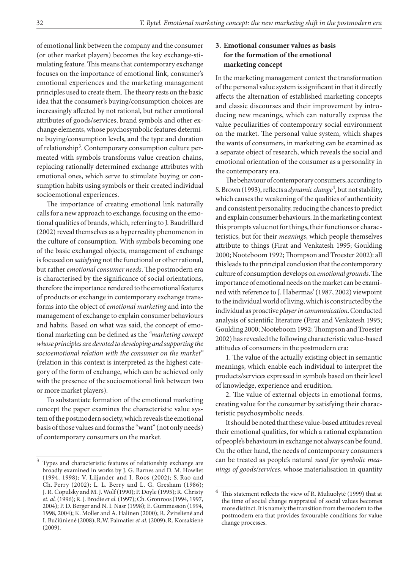of emotional link between the company and the consumer (or other market players) becomes the key exchange-stimulating feature. This means that contemporary exchange focuses on the importance of emotional link, consumer's emotional experiences and the marketing management principles used to create them. The theory rests on the basic idea that the consumer's buying/consumption choices are increasingly affected by not rational, but rather emotional attributes of goods/services, brand symbols and other exchange elements, whose psychosymbolic features determine buying/consumption levels, and the type and duration of relationship<sup>3</sup>. Contemporary consumption culture permeated with symbols transforms value creation chains, replacing rationally determined exchange attributes with emotional ones, which serve to stimulate buying or consumption habits using symbols or their created individual socioemotional experiences.

The importance of creating emotional link naturally calls for a new approach to exchange, focusing on the emotional qualities of brands, which, referring to J. Baudrillard (2002) reveal themselves as a hyperreality phenomenon in the culture of consumption. With symbols becoming one of the basic exchanged objects, management of exchange is focused on *satisfying* not the functional or other rational, but rather *emotional consumer needs*. The postmodern era is characterised by the significance of social orientations, therefore the importance rendered to the emotional features of products or exchange in contemporary exchange transforms into the object of *emotional marketing* and into the management of exchange to explain consumer behaviours and habits. Based on what was said, the concept of emotional marketing can be defined as the *"marketing concept whose principles are devoted to developing and supporting the socioemotional relation with the consumer on the market"* (relation in this context is interpreted as the highest category of the form of exchange, which can be achieved only with the presence of the socioemotional link between two or more market players).

To substantiate formation of the emotional marketing concept the paper examines the characteristic value system of the postmodern society, which reveals the emotional basis of those values and forms the "want" (not only needs) of contemporary consumers on the market.

### **3. Emotional consumer values as basis for the formation of the emotional marketing concept**

In the marketing management context the transformation of the personal value system is significant in that it directly affects the alternation of established marketing concepts and classic discourses and their improvement by introducing new meanings, which can naturally express the value peculiarities of contemporary social environment on the market. The personal value system, which shapes the wants of consumers, in marketing can be examined as a separate object of research, which reveals the social and emotional orientation of the consumer as a personality in the contemporary era.

The behaviour of contemporary consumers, according to S. Brown (1993), reflects a *dynamic change*<sup>4</sup>, but not stability, which causes the weakening of the qualities of authenticity and consistent personality, reducing the chances to predict and explain consumer behaviours. In the marketing context this prompts value not for things, their functions or characteristics, but for their *meanings*, which people themselves attribute to things (Firat and Venkatesh 1995; Goulding 2000; Nooteboom 1992; Thompson and Troester 2002): all this leads to the principal conclusion that the contemporary culture of consumption develops on *emotional grounds*. The importance of emotional needs on the market can be examined with reference to J. Habermas' (1987, 2002) viewpoint to the individual world of living, which is constructed by the individual as proactive *player in communication*. Conducted analysis of scientific literature (Firat and Venkatesh 1995; Goulding 2000; Nooteboom 1992; Thompson and Troester 2002) has revealed the following characteristic value-based attitudes of consumers in the postmodern era:

1. The value of the actually existing object in semantic meanings, which enable each individual to interpret the products/services expressed in symbols based on their level of knowledge, experience and erudition.

2. The value of external objects in emotional forms, creating value for the consumer by satisfying their characteristic psychosymbolic needs.

It should be noted that these value-based attitudes reveal their emotional qualities, for which a rational explanation of people's behaviours in exchange not always can be found. On the other hand, the needs of contemporary consumers can be treated as people's natural *need for symbolic meanings of goods/services*, whose materialisation in quantity

<sup>3</sup> Types and characteristic features of relationship exchange are broadly examined in works by J. G. Barnes and D. M. Howllet (1994, 1998); V. Liljander and I. Roos (2002); S. Rao and Ch. Perry (2002); L. L. Berry and L. G. Gresham (1986); J. R. Copulsky and M. J. Wolf (1990); P. Doyle (1995); R. Christy *et. al.* (1996); R. J. Brodie *et al.* (1997); Ch. Gronroos (1994, 1997, 2004); P. D. Berger and N. I. Nasr (1998); E. Gummesson (1994, 1998, 2004); K. Moller and A. Halinen (2000); R. Žvirelienė and I. Bučiūnienė (2008); R.W. Palmatier *et al.* (2009); R. Korsakienė (2009).

<sup>4</sup> This statement reflects the view of R. Muliuolytė (1999) that at the time of social change reappraisal of social values becomes more distinct. It is namely the transition from the modern to the postmodern era that provides favourable conditions for value change processes.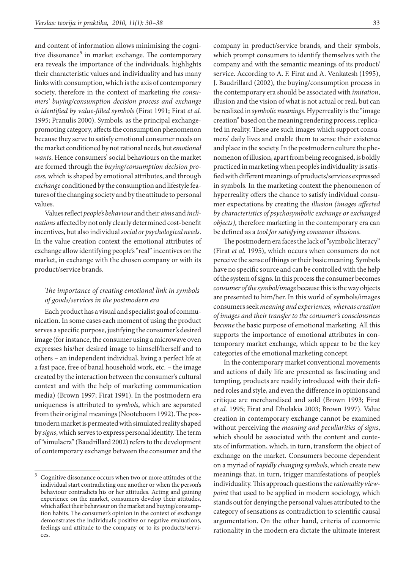and content of information allows minimising the cognitive dissonance<sup>5</sup> in market exchange. The contemporary era reveals the importance of the individuals, highlights their characteristic values and individuality and has many links with consumption, which is the axis of contemporary society, therefore in the context of marketing *the consumers' buying/consumption decision process and exchange is identified by value-filled symbols* (Firat 1991; Firat *et al.*  1995; Pranulis 2000). Symbols, as the principal exchangepromoting category, affects the consumption phenomenon because they serve to satisfy emotional consumer needs on the market conditioned by not rational needs, but *emotional wants*. Hence consumers' social behaviours on the market are formed through the *buying/consumption decision process*, which is shaped by emotional attributes, and through *exchange* conditioned by the consumption and lifestyle features of the changing society and by the attitude to personal values.

Values reflect *people's behaviour* and their *aims* and *inclinations* affected by not only clearly determined cost-benefit incentives, but also individual *social or psychological needs*. In the value creation context the emotional attributes of exchange allow identifying people's "real" incentives on the market, in exchange with the chosen company or with its product/service brands.

### *The importance of creating emotional link in symbols of goods/services in the postmodern era*

Each product has a visual and specialist goal of communication. In some cases each moment of using the product serves a specific purpose, justifying the consumer's desired image (for instance, the consumer using a microwave oven expresses his/her desired image to himself/herself and to others – an independent individual, living a perfect life at a fast pace, free of banal household work, etc. – the image created by the interaction between the consumer's cultural context and with the help of marketing communication media) (Brown 1997; Firat 1991). In the postmodern era uniqueness is attributed to *symbols*, which are separated from their original meanings (Nooteboom 1992). The postmodern market is permeated with simulated reality shaped by *signs*, which serves to express personal identity. The term of "simulacra" (Baudrillard 2002) refers to the development of contemporary exchange between the consumer and the

company in product/service brands, and their symbols, which prompt consumers to identify themselves with the company and with the semantic meanings of its product/ service. According to A. F. Firat and A. Venkatesh (1995), J. Baudrillard (2002), the buying/consumption process in the contemporary era should be associated with *imitation*, illusion and the vision of what is not actual or real, but can be realized in *symbolic meanings*. Hyperreality is the "image creation" based on the meaning rendering process, replicated in reality. These are such images which support consumers' daily lives and enable them to sense their existence and place in the society. In the postmodern culture the phenomenon of illusion, apart from being recognised, is boldly practiced in marketing when people's individuality is satisfied with different meanings of products/services expressed in symbols. In the marketing context the phenomenon of hyperreality offers the chance to satisfy individual consumer expectations by creating the *illusion (images affected by characteristics of psychosymbolic exchange or exchanged objects)*, therefore marketing in the contemporary era can be defined as a *tool for satisfying consumer illusions*.

The postmodern era faces the lack of "symbolic literacy" (Firat *et al.* 1995), which occurs when consumers do not perceive the sense of things or their basic meaning. Symbols have no specific source and can be controlled with the help of the system of signs. In this process the consumer becomes *consumer of the symbol/image* because this is the way objects are presented to him/her. In this world of symbols/images consumers seek *meaning and experiences, whereas creation of images and their transfer to the consumer's consciousness become* the basic purpose of emotional marketing. All this supports the importance of emotional attributes in contemporary market exchange, which appear to be the key categories of the emotional marketing concept.

In the contemporary market conventional movements and actions of daily life are presented as fascinating and tempting, products are readily introduced with their defined roles and style, and even the difference in opinions and critique are merchandised and sold (Brown 1993; Firat *et al.* 1995; Firat and Dholakia 2003; Brown 1997). Value creation in contemporary exchange cannot be examined without perceiving the *meaning and peculiarities of signs*, which should be associated with the content and contexts of information, which, in turn, transform the object of exchange on the market. Consumers become dependent on a myriad of *rapidly changing symbols*, which create new meanings that, in turn, trigger manifestations of people's individuality. This approach questions the *rationality viewpoint* that used to be applied in modern sociology, which stands out for denying the personal values attributed to the category of sensations as contradiction to scientific causal argumentation. On the other hand, criteria of economic rationality in the modern era dictate the ultimate interest

<sup>5</sup> Cognitive dissonance occurs when two or more attitudes of the individual start contradicting one another or when the person's behaviour contradicts his or her attitudes. Acting and gaining experience on the market, consumers develop their attitudes, which affect their behaviour on the market and buying/consumption habits. The consumer's opinion in the context of exchange demonstrates the individual's positive or negative evaluations, feelings and attitude to the company or to its products/services.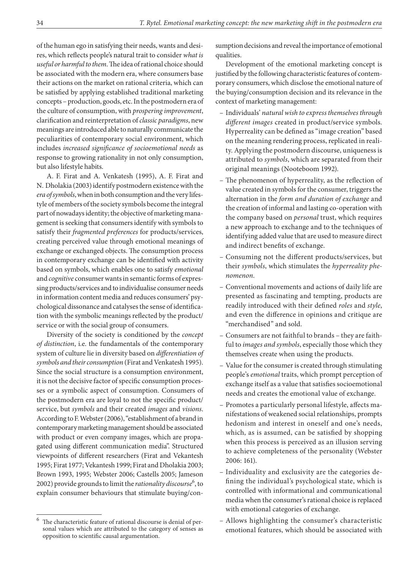of the human ego in satisfying their needs, wants and desires, which reflects people's natural trait to consider *what is useful or harmful to them*. The idea of rational choice should be associated with the modern era, where consumers base their actions on the market on rational criteria, which can be satisfied by applying established traditional marketing concepts – production, goods, etc. In the postmodern era of the culture of consumption, with *prospering improvement*, clarification and reinterpretation of *classic paradigms*, new meanings are introduced able to naturally communicate the peculiarities of contemporary social environment, which includes *increased significance of socioemotional needs* as response to growing rationality in not only consumption, but also lifestyle habits.

A. F. Firat and A. Venkatesh (1995), A. F. Firat and N. Dholakia (2003) identify postmodern existence with the *era of symbols*, when in both consumption and the very lifestyle of members of the society symbols become the integral part of nowadays identity; the objective of marketing management is seeking that consumers identify with symbols to satisfy their *fragmented preferences* for products/services, creating perceived value through emotional meanings of exchange or exchanged objects. The consumption process in contemporary exchange can be identified with activity based on symbols, which enables one to satisfy *emotional*  and *cognitive* consumer wants in semantic forms of expressing products/services and to individualise consumer needs in information content media and reduces consumers' psychological dissonance and catalyses the sense of identification with the symbolic meanings reflected by the product/ service or with the social group of consumers.

Diversity of the society is conditioned by the *concept of distinction*, i.e. the fundamentals of the contemporary system of culture lie in diversity based on *differentiation of symbols and their consumption* (Firat and Venkatesh 1995). Since the social structure is a consumption environment, it is not the decisive factor of specific consumption processes or a symbolic aspect of consumption. Consumers of the postmodern era are loyal to not the specific product/ service, but *symbols* and their created *images* and *visions*. According to F. Webster (2006), "establishment of a brand in contemporary marketing management should be associated with product or even company images, which are propagated using different communication media". Structured viewpoints of different researchers (Firat and Vekantesh 1995; Firat 1977; Vekantesh 1999; Firat and Dholakia 2003; Brown 1993, 1995; Webster 2006; Castells 2005; Jameson 2002) provide grounds to limit the *rationality discourse*<sup>6</sup>, to explain consumer behaviours that stimulate buying/consumption decisions and reveal the importance of emotional qualities.

Development of the emotional marketing concept is justified by the following characteristic features of contemporary consumers, which disclose the emotional nature of the buying/consumption decision and its relevance in the context of marketing management:

- Individuals' *natural wish to express themselves through different images* created in product/service symbols. Hyperreality can be defined as "image creation" based on the meaning rendering process, replicated in reality. Applying the postmodern discourse, uniqueness is attributed to *symbols*, which are separated from their original meanings (Nooteboom 1992).
- The phenomenon of hyperreality, as the reflection of value created in symbols for the consumer, triggers the alternation in the *form and duration of exchange* and the creation of informal and lasting co-operation with the company based on *personal* trust, which requires a new approach to exchange and to the techniques of identifying added value that are used to measure direct and indirect benefits of exchange.
- Consuming not the different products/services, but their *symbols*, which stimulates the *hyperreality phenomenon*.
- Conventional movements and actions of daily life are presented as fascinating and tempting, products are readily introduced with their defined *roles* and *style*, and even the difference in opinions and critique are "merchandised" and sold.
- Consumers are not faithful to brands they are faith-– ful to *images and symbols*, especially those which they themselves create when using the products.
- Value for the consumer is created through stimulating people's *emotional* traits, which prompt perception of exchange itself as a value that satisfies socioemotional needs and creates the emotional value of exchange.
- Promotes a particularly personal lifestyle, affects manifestations of weakened social relationships, prompts hedonism and interest in oneself and one's needs, which, as is assumed, can be satisfied by shopping when this process is perceived as an illusion serving to achieve completeness of the personality (Webster 2006: 161).
- Individuality and exclusivity are the categories defining the individual's psychological state, which is controlled with informational and communicational media when the consumer's rational choice is replaced with emotional categories of exchange.
- Allows highlighting the consumer's characteristic emotional features, which should be associated with

The characteristic feature of rational discourse is denial of personal values which are attributed to the category of senses as opposition to scientific causal argumentation.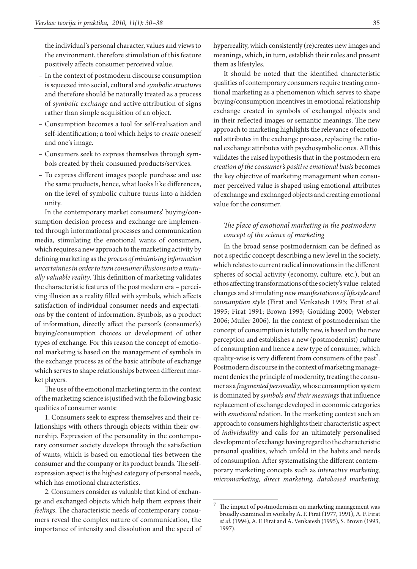the individual's personal character, values and views to the environment, therefore stimulation of this feature positively affects consumer perceived value.

- In the context of postmodern discourse consumption is squeezed into social, cultural and *symbolic structures* and therefore should be naturally treated as a process of *symbolic exchange* and active attribution of signs rather than simple acquisition of an object.
- Consumption becomes a tool for self-realisation and self-identification; a tool which helps to *create* oneself and one's image.
- Consumers seek to express themselves through sym-– bols created by their consumed products/services.
- To express different images people purchase and use the same products, hence, what looks like differences, on the level of symbolic culture turns into a hidden unity.

In the contemporary market consumers' buying/consumption decision process and exchange are implemented through informational processes and communication media, stimulating the emotional wants of consumers, which requires a new approach to the marketing activity by defining marketing as the *process of minimising information uncertainties in order to turn consumer illusions into a mutually valuable reality*. This definition of marketing validates the characteristic features of the postmodern era – perceiving illusion as a reality filled with symbols, which affects satisfaction of individual consumer needs and expectations by the content of information. Symbols, as a product of information, directly affect the person's (consumer's) buying/consumption choices or development of other types of exchange. For this reason the concept of emotional marketing is based on the management of symbols in the exchange process as of the basic attribute of exchange which serves to shape relationships between different market players.

The use of the emotional marketing term in the context of the marketing science is justified with the following basic qualities of consumer wants:

1. Consumers seek to express themselves and their relationships with others through objects within their ownership. Expression of the personality in the contemporary consumer society develops through the satisfaction of wants, which is based on emotional ties between the consumer and the company or its product brands. The selfexpression aspect is the highest category of personal needs, which has emotional characteristics.

2. Consumers consider as valuable that kind of exchange and exchanged objects which help them express their *feelings*. The characteristic needs of contemporary consumers reveal the complex nature of communication, the importance of intensity and dissolution and the speed of hyperreality, which consistently (re)creates new images and meanings, which, in turn, establish their rules and present them as lifestyles.

It should be noted that the identified characteristic qualities of contemporary consumers require treating emotional marketing as a phenomenon which serves to shape buying/consumption incentives in emotional relationship exchange created in symbols of exchanged objects and in their reflected images or semantic meanings. The new approach to marketing highlights the relevance of emotional attributes in the exchange process, replacing the rational exchange attributes with psychosymbolic ones. All this validates the raised hypothesis that in the postmodern era *creation of the consumer's positive emotional basis* becomes the key objective of marketing management when consumer perceived value is shaped using emotional attributes of exchange and exchanged objects and creating emotional value for the consumer.

# *The place of emotional marketing in the postmodern concept of the science of marketing*

In the broad sense postmodernism can be defined as not a specific concept describing a new level in the society, which relates to current radical innovations in the different spheres of social activity (economy, culture, etc.), but an ethos affecting transformations of the society's value-related changes and stimulating *new manifestations of lifestyle and consumption style* (Firat and Venkatesh 1995; Firat *et al.* 1995; Firat 1991; Brown 1993; Goulding 2000; Webster 2006; Muller 2006). In the context of postmodernism the concept of consumption is totally new, is based on the new perception and establishes a new (postmodernist) culture of consumption and hence a new type of consumer, which quality-wise is very different from consumers of the past<sup>7</sup>. Postmodern discourse in the context of marketing management denies the principle of modernity, treating the consumer as a *fragmented personality*, whose consumption system is dominated by *symbols and their meanings* that influence replacement of exchange developed in economic categories with *emotional* relation. In the marketing context such an approach to consumers highlights their characteristic aspect of *individuality* and calls for an ultimately personalised development of exchange having regard to the characteristic personal qualities, which unfold in the habits and needs of consumption. After systematising the different contemporary marketing concepts such as *interactive marketing, micromarketing, direct marketing, databased marketing,* 

The impact of postmodernism on marketing management was broadly examined in works by A. F. Firat (1977, 1991), A. F. Firat *et al.* (1994), A. F. Firat and A. Venkatesh (1995), S. Brown (1993, 1997).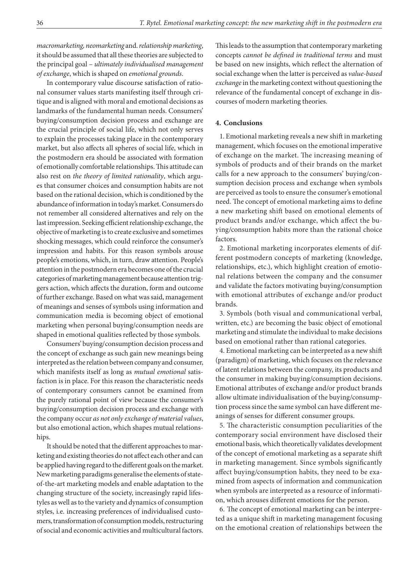*macromarketing, neomarketing* and. *relationship marketing*, it should be assumed that all these theories are subjected to the principal goal – *ultimately individualised management of exchange*, which is shaped on *emotional grounds*.

In contemporary value discourse satisfaction of rational consumer values starts manifesting itself through critique and is aligned with moral and emotional decisions as landmarks of the fundamental human needs. Consumers' buying/consumption decision process and exchange are the crucial principle of social life, which not only serves to explain the processes taking place in the contemporary market, but also affects all spheres of social life, which in the postmodern era should be associated with formation of emotionally comfortable relationships. This attitude can also rest on *the theory of limited rationality*, which argues that consumer choices and consumption habits are not based on the rational decision, which is conditioned by the abundance of information in today's market. Consumers do not remember all considered alternatives and rely on the last impression. Seeking efficient relationship exchange, the objective of marketing is to create exclusive and sometimes shocking messages, which could reinforce the consumer's impression and habits. For this reason symbols arouse people's emotions, which, in turn, draw attention. People's attention in the postmodern era becomes one of the crucial categories of marketing management because attention triggers action, which affects the duration, form and outcome of further exchange. Based on what was said, management of meanings and senses of symbols using information and communication media is becoming object of emotional marketing when personal buying/consumption needs are shaped in emotional qualities reflected by those symbols.

Consumers' buying/consumption decision process and the concept of exchange as such gain new meanings being interpreted as the relation between company and consumer, which manifests itself as long as *mutual emotional* satisfaction is in place. For this reason the characteristic needs of contemporary consumers cannot be examined from the purely rational point of view because the consumer's buying/consumption decision process and exchange with the company occur *as not only exchange of material values*, but also emotional action, which shapes mutual relationships.

It should be noted that the different approaches to marketing and existing theories do not affect each other and can be applied having regard to the different goals on the market. New marketing paradigms generalise the elements of stateof-the-art marketing models and enable adaptation to the changing structure of the society, increasingly rapid lifestyles as well as to the variety and dynamics of consumption styles, i.e. increasing preferences of individualised customers, transformation of consumption models, restructuring of social and economic activities and multicultural factors. This leads to the assumption that contemporary marketing concepts *cannot be defined in traditional terms* and must be based on new insights, which reflect the alternation of social exchange when the latter is perceived as *value-based exchange* in the marketing context without questioning the relevance of the fundamental concept of exchange in discourses of modern marketing theories.

#### **4. Conclusions**

1. Emotional marketing reveals a new shift in marketing management, which focuses on the emotional imperative of exchange on the market. The increasing meaning of symbols of products and of their brands on the market calls for a new approach to the consumers' buying/consumption decision process and exchange when symbols are perceived as tools to ensure the consumer's emotional need. The concept of emotional marketing aims to define a new marketing shift based on emotional elements of product brands and/or exchange, which affect the buying/consumption habits more than the rational choice factors.

2. Emotional marketing incorporates elements of different postmodern concepts of marketing (knowledge, relationships, etc.), which highlight creation of emotional relations between the company and the consumer and validate the factors motivating buying/consumption with emotional attributes of exchange and/or product brands.

3. Symbols (both visual and communicational verbal, written, etc.) are becoming the basic object of emotional marketing and stimulate the individual to make decisions based on emotional rather than rational categories.

4. Emotional marketing can be interpreted as a new shift (paradigm) of marketing, which focuses on the relevance of latent relations between the company, its products and the consumer in making buying/consumption decisions. Emotional attributes of exchange and/or product brands allow ultimate individualisation of the buying/consumption process since the same symbol can have different meanings of senses for different consumer groups.

5. The characteristic consumption peculiarities of the contemporary social environment have disclosed their emotional basis, which theoretically validates development of the concept of emotional marketing as a separate shift in marketing management. Since symbols significantly affect buying/consumption habits, they need to be examined from aspects of information and communication when symbols are interpreted as a resource of information, which arouses different emotions for the person.

6. The concept of emotional marketing can be interpreted as a unique shift in marketing management focusing on the emotional creation of relationships between the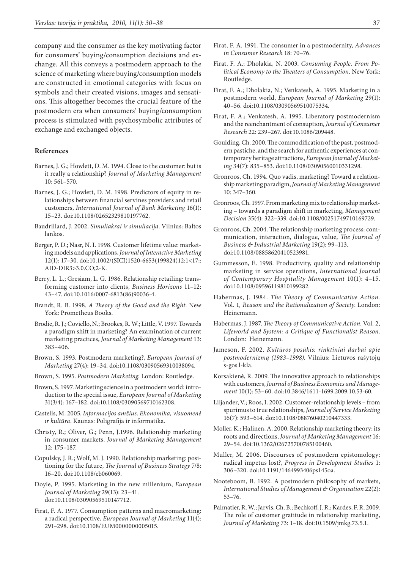company and the consumer as the key motivating factor for consumers' buying/consumption decisions and exchange. All this conveys a postmodern approach to the science of marketing where buying/consumption models are constructed in emotional categories with focus on symbols and their created visions, images and sensations. This altogether becomes the crucial feature of the postmodern era when consumers' buying/consumption process is stimulated with psychosymbolic attributes of exchange and exchanged objects.

#### **References**

- Barnes, J. G.; Howlett, D. M. 1994. Close to the customer: but is it really a relationship? *Journal of Marketing Management*  10: 561–570.
- Barnes, J. G.; Howlett, D. M. 1998. Predictors of equity in relationships between financial servines providers and retail customers, *International Journal of Bank Marketing* 16(1): 15–23. [doi:10.1108/02652329810197762.](http://dx.doi.org/10.1108/02652329810197762" \o "http://dx.doi.org/10.1108/02652329810197762" \t "_blank)
- Baudrillard, J. 2002. *Simuliakrai ir simuliacija*. Vilnius: Baltos lankos.
- Berger, P. D.; Nasr, N. I. 1998. Customer lifetime value: marketing models and applications, *Journal of Interactive Marketing* 12(1): 17–30. [doi:10.1002/\(SICI\)1520-6653\(199824\)12:1<17::](http://dx.doi.org/10.1002/(SI) [AID-DIR3>3.0.CO;2-K](http://dx.doi.org/10.1002/(SI).
- Berry, L. L.; Gresiam, L. G. 1986. Relationship retailing: transforming customer into clients, *Business Horizons* 11–12: 43–47. [doi:10.1016/0007-6813\(86\)90036-4](http://dx.doi.org/10.1016/0007-6813(86)90036-4" \o "http://dx.doi.org/10.1016/0007-6813(86)90036-4" \t "_blank).
- Brandt, R. B. 1998. *A Theory of the Good and the Right*. New York: Prometheus Books.
- Brodie, R. J.; Coviello, N.; Brookes, R. W.; Little, V. 1997. Towards a paradigm shift in marketing? An examination of current marketing practices, *Journal of Marketing Management* 13: 383–406.
- Brown, S. 1993. Postmodern marketing?, *European Journal of Marketing* 27(4): 19–34. [doi:10.1108/03090569310038094.](http://dx.doi.org/10.1108/03090569310038094" \o "http://dx.doi.org/10.1108/03090569310038094" \t "_blank)
- Brown, S. 1995. *Postmodern Marketing*. London: Routledge.
- Brown, S. 1997. Marketing science in a postmodern world: introduction to the special issue, *European Journal of Marketing* 31(3/4): 167–182. [doi:10.1108/03090569710162308.](http://dx.doi.org/10.1108/03090569710162308" \o "http:/)
- Castells, M. 2005. *Informacijos amžius. Ekonomika, visuomenė ir kultūra*. Kaunas: Poligrafija ir informatika.
- Christy, R.; Oliver, G.; Penn, J.1996. Relationship marketing in consumer markets, *Journal of Marketing Management* 12: 175–187.
- Copulsky, J. R.; Wolf, M. J. 1990. Relationship marketing: positioning for the future, *The Journal of Business Strategy* 7/8: 16–20. [doi:10.1108/eb060069.](http://dx.doi.org/10.1108/eb060069" \o "http://dx.doi.org/10.1108/eb060069" \t "_blank)
- Doyle, P. 1995. Marketing in the new millenium, *European Journal of Marketing* 29(13): 23–41. [doi:10.1108/03090569510147712](http://dx.doi.org/10.1108/03090569510147712" \o "http://dx.doi.org/10.1108/03090569510147712" \t "_blank).
- Firat, F. A. 1977. Consumption patterns and macromarketing: a radical perspective, *European Journal of Marketing* 11(4): 291–298. [doi:10.1108/EUM0000000005015.](http://dx.doi.org/10.1108/EUM0000000005015" \o "http://dx.doi.org/10.1108/EUM0000000005015" \t "_blank)
- Firat, F. A. 1991. The consumer in a postmodernity, *Advances in Consumer Research* 18: 70–76.
- Firat, F. A.; Dholakia, N. 2003. *Consuming People. From Political Economy to the Theaters of Consumption*. New York: Routledge.
- Firat, F. A.; Dholakia, N.; Venkatesh, A. 1995. Marketing in a postmodern world, *European Journal of Marketing* 29(1): 40–56. [doi:10.1108/03090569510075334](http://dx.doi.org/10.1108/03090569510075334" \o "http://dx.doi.org/10.1108/03090569510075334" \t "_blank).
- Firat, F. A.; Venkatesh, A. 1995. Liberatory postmodernism and the reenchantment of consuption, *Journal of Consumer Research* 22: 239–267. [doi:10.1086/209448](http://dx.doi.org/10.1086/209448" \o "http://dx.doi.org/10.1086/209448" \t "_blank).
- Goulding, Ch. 2000. The commodification of the past, postmodern pastiche, and the search for authentic experiences at contemporary heritage attractions, *European Journal of Marketing* 34(7): 835–853. [doi:10.1108/03090560010331298.](http://dx.doi.org/10.1108/03090560010331298" \o "http://dx.doi.org/10.1108/03090560010331298" )
- Gronroos, Ch. 1994. Quo vadis, marketing? Toward a relationship marketing paradigm, *Journal of Marketing Management* 10: 347–360.
- Gronroos, Ch. 1997. From marketing mix to relationship marketing – towards a paradigm shift in marketing, *Management Decision* 35(4): 322–339. [doi:10.1108/00251749710169729](http://dx.doi.org/10.1108/00251749710169729" \o "http://dx.doi.org/10.1108/00251749710169729" \t "_blank).
- Gronroos, Ch. 2004. The relationship marketing process: communication, interaction, dialogue, value, *The Journal of Business & Industrial Marketing* 19(2): 99–113. [doi:10.1108/08858620410523981.](http://dx.doi.org/10.1108/08858620410523981" \o "http://dx.doi.org/10.1108/08858620410523981" \t "_blank)
- Gummesson, E. 1998. Productivity, quality and relationship marketing in service operations, *International Journal of Contemporary Hospitality Management* 10(1): 4–15. [doi:10.1108/09596119810199282.](http://dx.doi.org/10.1108/09596119810199282" \o "http://dx.doi.org/)
- Habermas, J. 1984. *The Theory of Communicative Action.*  Vol. 1*, Reason and the Rationalization of Society*. London: Heinemann.
- Habermas, J. 1987. *The Theory of Communicative Action.* Vol. 2, *Lifeworld and System: a Critique of Functionalist Reason*. London: Heinemann.
- Jameson, F. 2002. *Kultūros posūkis: rinktiniai darbai apie postmodernizmą (1983–1998)*. Vilnius: Lietuvos rašytojų s-gos l-kla.
- Korsakienė, R. 2009. The innovative approach to relationships with customers, *Journal of Business Economics and Management* 10(1): 53–60. [doi:10.3846/1611-1699.2009.10.53-60](http://dx.doi.org/10.3846/1611-1699.2009.10.53-60" \o "http://dx.doi.org/10.3846/1611-1699.2009.10.53-60).
- Liljander, V.; Roos, I. 2002. Customer-relationship levels from spurimus to true relationships, *Journal of Service Marketing* 16(7): 593–614. [doi:10.1108/08876040210447333](http://dx.doi.org/10.1108/08876040210447333" \o "http://dx.doi.org/10.1108/08876040210447333" \t "_blank).
- Moller, K.; Halinen, A. 2000. Relationship marketing theory: its roots and directions, *Journal of Marketing Management* 16: 29–54. [doi:10.1362/026725700785100460](http://dx.doi.org/10.1362/026725700785100460" \o "http://dx.doi.org/10.1362/026725700785).
- Muller, M. 2006. Discourses of postmodern epistomology: radical impetus lost?, *Progress in Development Studies* 1: 306–320. [doi:10.1191/1464993406ps145oa](http://dx.doi.org/10.1191/1464993406ps145oa" \o "http://dx.doi.org/1).
- Nooteboom, B. 1992. A postmodern philosophy of markets, *International Studies of Management & Organisation* 22(2): 53–76.
- Palmatier, R. W.; Jarvis, Ch. B.; Bechkoff, J. R.; Kardes, F. R. 2009. The role of customer gratitude in relationship marketing, *Journal of Marketing* 73: 1–18. [doi:10.1509/jmkg.73.5.1.](http://dx.doi.org/10.1509/jmkg.73.5.1" \o "http://dx.doi.org/10.1509/jmkg.73.5.1" \t "_blank)